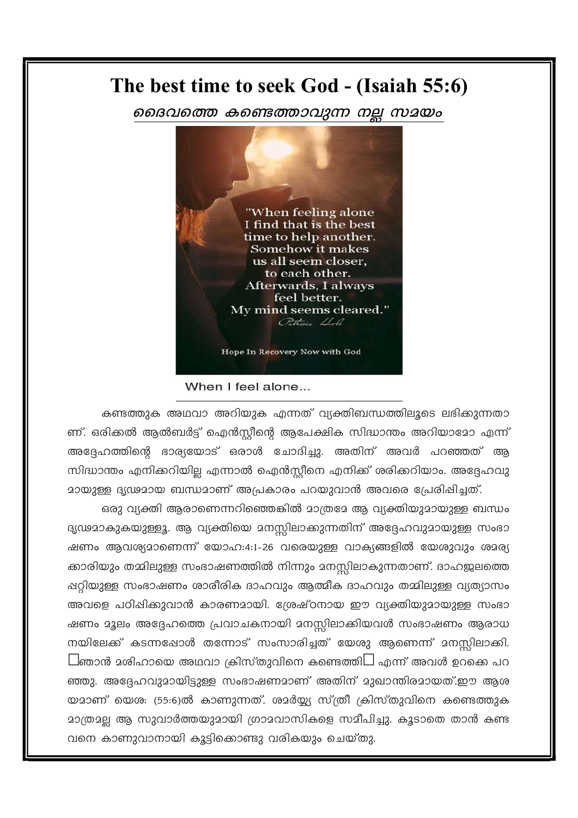## The best time to seek God - (Isaiah 55:6)

ദൈവത്തെ കണ്ടെത്താവുന്ന നല്ല സമയം



When I feel alone...

കണ്ടത്തുക അഥവാ അറിയുക എന്നത് വ്യക്തിബന്ധത്തിലൂടെ ലഭിക്കുന്നതാ ണ്. ഒരിക്കൽ ആൽബർട്ട് ഐൻസ്റ്റീന്റെ ആപേക്ഷിക സിദ്ധാന്തം അറിയാമോ എന്ന് അദ്ദേഹത്തിന്റെ ഭാര്യയോട് ഒരാൾ ചോദിച്ചു. അതിന് അവർ പറഞ്ഞത് ആ സിദ്ധാന്തം എനിക്കറിയില്ല എന്നാൽ ഐൻസ്റ്റീനെ എനിക്ക് ശരിക്കറിയാം. അദ്ദേഹവു മായുള്ള ദൃഢമായ ബന്ധമാണ് അപ്രകാരം പറയുവാൻ അവരെ പ്രേരിഷിച്ചത്.

ഒരു വ്യക്തി ആരാണെന്നറിഞ്ഞെങ്കിൽ മാത്രമേ ആ വ്യക്തിയുമായുള്ള ബന്ധം ദൃഢമാകുകയുള്ളൂ. ആ വ്യക്തിയെ മനസ്സിലാക്കുന്നതിന് അദ്ദേഹവുമായുള്ള സംഭാ ഷണം ആവശ്യമാണെന്ന് യോഹ:4:1-26 വരെയുള്ള വാക്യങ്ങളിൽ യേശുവും ശമര്യ ക്കാരിയും തമ്മിലുള്ള സംഭാഷണത്തിൽ നിന്നും മനസ്സിലാകുന്നതാണ്. ദാഹജലത്തെ ഷറ്റിയുള്ള സംഭാഷണം ശാരീരിക ദാഹവും ആത്മീക ദാഹവും തമ്മിലുള്ള വ്യത്യാസം അവളെ പഠിപ്പിക്കുവാൻ കാരണമായി. ശ്രേഷ്ഠനായ ഈ വ്യക്തിയുമായുള്ള സംഭാ ഷണം മൂലം അദ്ദേഹത്തെ പ്രവാചകനായി മനസ്സിലാക്കിയവൾ സംഭാഷണം ആരാധ നയിലേക്ക് കടന്നപ്പോൾ തന്നോട് സംസാരിച്ചത് യേശു ആണെന്ന് മനസിലാക്കി.  $\Box$ ഞാൻ മശിഹായെ അഥവാ ക്രിസ്തുവിനെ കണ്ടെത്തി $\Box$  എന്ന് അവൾ ഉറക്കെ പറ ഞ്ഞു. അദ്ദേഹവുമായിട്ടുള്ള സംഭാഷണമാണ് അതിന് മുഖാന്തിരമായത്.ഈ ആശ യമാണ് യെശ: (55:6)ൽ കാണുന്നത്. ശമർയ്യ്യ സ്ത്രീ ക്രിസ്തുവിനെ കണ്ടെത്തുക മാത്രമല്ല ആ സുവാർത്തയുമായി ഗ്രാമവാസികളെ സമീപിച്ചു. കൂടാതെ താൻ കണ്ട വനെ കാണുവാനായി കൂട്ടിക്കൊണ്ടു വരികയും ചെയ്തു.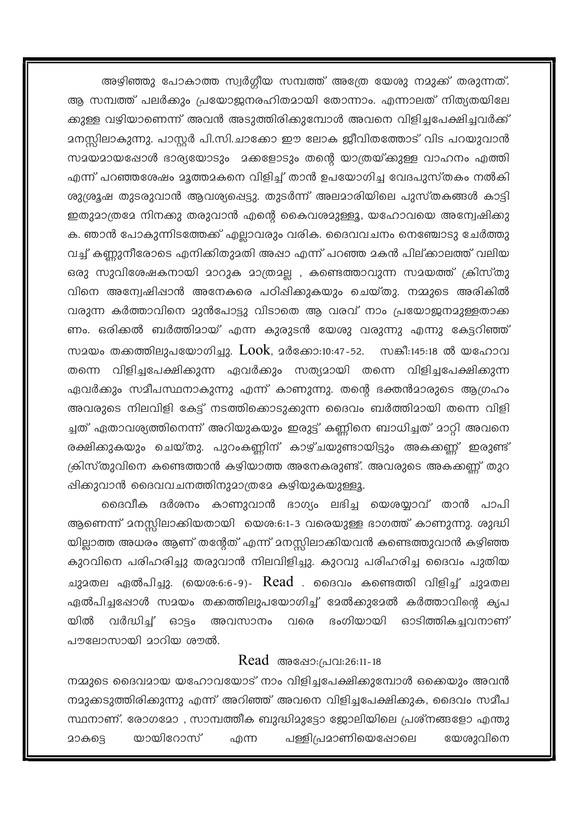അഴിഞ്ഞു പോകാത്ത സ്വർഗ്ഗീയ സമ്പത്ത് അത്രേ യേശു നമുക്ക് തരുന്നത്. ആ സമ്പത്ത് പലർക്കും പ്രയോജനരഹിതമായി തോന്നാം. എന്നാലത് നിത്യതയിലേ ക്കുള്ള വഴിയാണെന്ന് അവൻ അടുത്തിരിക്കുമ്പോൾ അവനെ വിളിച്ചപേക്ഷിച്ചവർക്ക് മനസ്സിലാകുന്നു. പാസ്റ്റർ പി.സി.ചാക്കോ ഈ ലോക ജീവിതത്തോട് വിട പറയുവാൻ സമയമായപ്പോൾ ഭാര്യയോടും മക്കളോടും തന്റെ യാത്രയ്ക്കുള്ള വാഹനം എത്തി എന്ന് പറഞ്ഞശേഷം മൂത്തമകനെ വിളിച്ച് താൻ ഉപയോഗിച്ച വേദപുസ്തകം നൽകി ശുശ്രൂഷ തുടരുവാൻ ആവശ്യപ്പെട്ടു. തുടർന്ന് അലമാരിയിലെ പുസ്തകങ്ങൾ കാട്ടി ഇതുമാത്രമേ നിനക്കു തരുവാൻ എന്റെ കൈവശമുള്ളൂ, യഹോവയെ അന്വേഷിക്കു ക. ഞാൻ പോകുന്നിടത്തേക്ക് എല്ലാവരും വരിക. ദൈവവചനം നെഞ്ചോടു ചേർത്തു വച്ച് കണ്ണുനീരോടെ എനിക്കിതുമതി അപ്പാ എന്ന് പറഞ്ഞ മകൻ പില്ക്കാലത്ത് വലിയ ഒരു സുവിശേഷകനായി മാറുക മാത്രമല്ല , കണ്ടെത്താവുന്ന സമയത്ത് ക്രിസ്തു വിനെ അന്വേഷിപ്പാൻ അനേകരെ പഠിപ്പിക്കുകയും ചെയ്തു. നമ്മുടെ അരികിൽ വരുന്ന കർത്താവിനെ മുൻപോട്ടു വിടാതെ ആ വരവ് നാം പ്രയോജനമുള്ളതാക്ക ണം. ഒരിക്കൽ ബർത്തിമായ് എന്ന കുരുടൻ യേശു വരുന്നു എന്നു കേട്ടറിഞ്ഞ് സമയം തക്കത്തിലുപയോഗിച്ചു.  $Look$ , മർക്കോ:10:47-52. സങ്കീ:145:18 ൽ യഹോവ തന്നെ വിളിച്ചപേക്ഷിക്കുന്ന ഏവർക്കും സത്യമായി തന്നെ വിളിച്ചപേക്ഷിക്കുന്ന ഏവർക്കും സമീപസ്ഥനാകുന്നു എന്ന് കാണുന്നു. തന്റെ ഭക്തൻമാരുടെ ആഗ്രഹം അവരുടെ നിലവിളി കേട്ട് നടത്തിക്കൊടുക്കുന്ന ദൈവം ബർത്തിമായി തന്നെ വിളി ച്ചത് ഏതാവശ്യത്തിനെന്ന് അറിയുകയും ഇരുട്ട് കണ്ണിനെ ബാധിച്ചത് മാറ്റി അവനെ രക്ഷിക്കുകയും ചെയ്തു. പുറംകണ്ണിന് കാഴ്ചയുണ്ടായിട്ടും അകക്കണ്ണ് ഇരുണ്ട് ക്രിസ്തുവിനെ കണ്ടെത്താൻ കഴിയാത്ത അനേകരുണ്ട്. അവരുടെ അകക്കണ്ണ് തുറ ഷിക്കുവാൻ ദൈവവചനത്തിനുമാത്രമേ കഴിയുകയുള്ളൂ.

ദൈവീക ദർശനം കാണുവാൻ ഭാഗ്യം ലഭിച്ച യെശയ്യാവ് താൻ പാപി ആണെന്ന് മനസ്സിലാക്കിയതായി യെശ:6:1-3 വരെയുള്ള ഭാഗത്ത് കാണുന്നു. ശുദ്ധി യില്ലാത്ത അധരം ആണ് തന്റേത് എന്ന് മനസ്സിലാക്കിയവൻ കണ്ടെത്തുവാൻ കഴിഞ്ഞ കുറവിനെ പരിഹരിച്ചു തരുവാൻ നിലവിളിച്ചു. കുറവു പരിഹരിച്ച ദൈവം പുതിയ ചുമതല ഏൽപിച്ചു. (യെശ:6:6-9)-  $\rm Read$  . ദൈവം കണ്ടെത്തി വിളിച്ച് ചുമതല ഏൽപിച്ചപ്പോൾ സമയം തക്കത്തിലുപയോഗിച്ച് മേൽക്കുമേൽ കർത്താവിന്റെ കൃപ വർദ്ധിച്ച് ഓട്ടം അവസാനം വരെ ഭംഗിയായി ഓടിത്തികച്ചവനാണ് യിൽ പൗലോസായി മാറിയ ശൗൽ.

#### Read അഷോ:(പവ:26:11-18

നമ്മുടെ ദൈവമായ യഹോവയോട് നാം വിളിച്ചപേക്ഷിക്കുമ്പോൾ ഒക്കെയും അവൻ നമുക്കടുത്തിരിക്കുന്നു എന്ന് അറിഞ്ഞ് അവനെ വിളിച്ചപേക്ഷിക്കുക, ദൈവം സമീപ സ്ഥനാണ്. രോഗമോ , സാമ്പത്തീക ബുദ്ധിമുട്ടോ ജോലിയിലെ പ്രശ്നങ്ങളോ എന്തു യായിറോസ് പള്ളി(പമാണിയെഷോലെ യേശുവിനെ എന്ന **2000S**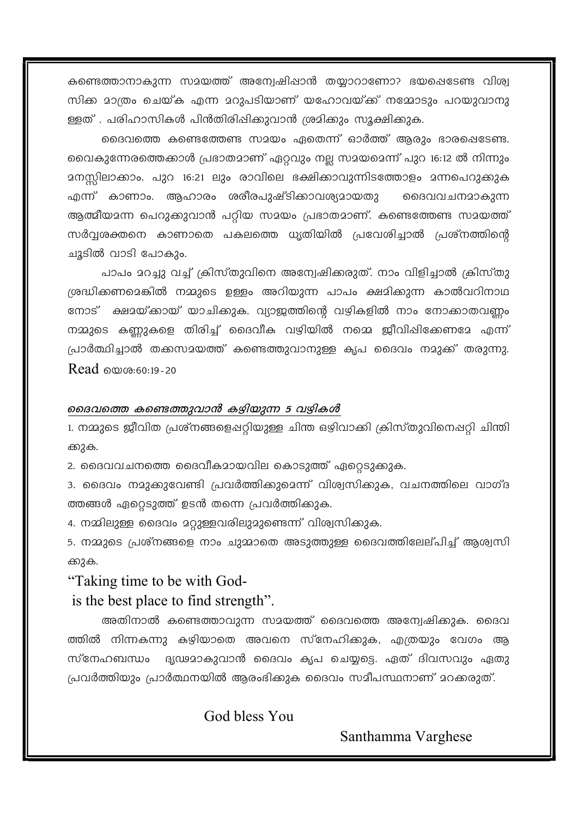കണ്ടെത്താനാകുന്ന സമയത്ത് അന്വേഷിഷാൻ തയ്യാറാണോ? ഭയപ്പെടേണ്ട വിശ്വ സിക്ക മാത്രം ചെയ്ക എന്ന മറുപടിയാണ് യഹോവയ്ക്ക് നമ്മോടും പറയുവാനു ള്ളത് . പരിഹാസികൾ പിൻതിരിപ്പിക്കുവാൻ ശ്രമിക്കും സൂക്ഷിക്കുക.

ദൈവത്തെ കണ്ടെത്തേണ്ട സമയം ഏതെന്ന് ഓർത്ത് ആരും ഭാരപ്പെടേണ്ട. വൈകുന്നേരത്തെക്കാൾ പ്രഭാതമാണ് ഏറ്റവും നല്ല സമയമെന്ന് പുറ 16:12 ൽ നിന്നും മനസ്സിലാക്കാം. പുറ 16:21 ലും രാവിലെ ഭക്ഷിക്കാവുന്നിടത്തോളം മന്നപെറുക്കുക എന്ന് കാണാം. ആഹാരം ശരീരപുഷ്ടിക്കാവശ്യമായതു മൈവവചനമാകുന്ന ആത്മീയമന്ന പെറുക്കുവാൻ പറ്റിയ സമയം പ്രഭാതമാണ്. കണ്ടെത്തേണ്ട സമയത്ത് സർവ്വശക്തനെ കാണാതെ പകലത്തെ ധൃതിയിൽ പ്രവേശിച്ചാൽ പ്രശ്നത്തിന്റെ ചൂടിൽ വാടി പോകും.

പാപം മറച്ചു വച്ച് ക്രിസ്തുവിനെ അന്വേഷിക്കരുത്. നാം വിളിച്ചാൽ ക്രിസ്തു ശ്രദ്ധിക്കണമെങ്കിൽ നമ്മുടെ ഉള്ളം അറിയുന്ന പാപം ക്ഷമിക്കുന്ന കാൽവറിനാഥ നോട് ക്ഷമയ്ക്കായ് യാചിക്കുക. വ്യാജത്തിന്റെ വഴികളിൽ നാം നോക്കാതവണ്ണം നമ്മുടെ കണ്ണുകളെ തിരിച്ച് ദൈവീക വഴിയിൽ നമ്മെ ജീവിഷിക്കേണമേ എന്ന് പ്രാർത്ഥിച്ചാൽ തക്കസമയത്ത് കണ്ടെത്തുവാനുള്ള കൃപ ദൈവം നമുക്ക് തരുന്നു.  $Read$  manu- $60.19 - 20$ 

#### ദൈവത്തെ കണ്ടെത്തുവാൻ കഴിയുന്ന 5 വഴികൾ

1. നമ്മുടെ ജീവിത പ്രശ്നങ്ങളെഷറ്റിയുള്ള ചിന്ത ഒഴിവാക്കി ക്രിസ്തുവിനെഷറ്റി ചിന്തി ക്കുക.

2. ദൈവവചനത്തെ ദൈവീകമായവില കൊടുത്ത് ഏറ്റെടുക്കുക.

3. ദൈവം നമുക്കുവേണ്ടി പ്രവർത്തിക്കുമെന്ന് വിശ്വസിക്കുക, വചനത്തിലെ വാഗ്ദ ത്തങ്ങൾ ഏറ്റെടുത്ത് ഉടൻ തന്നെ പ്രവർത്തിക്കുക.

4. നമ്മിലുള്ള ദൈവം മറ്റുള്ളവരിലുമുണ്ടെന്ന് വിശ്വസിക്കുക.

5. നമ്മുടെ പ്രശ്നങ്ങളെ നാം ചുമ്മാതെ അടുത്തുള്ള ദൈവത്തിലേല്പിച്ച് ആശ്വസി ക്കുക.

### "Taking time to be with God-

is the best place to find strength".

അതിനാൽ കണ്ടെത്താവുന്ന സമയത്ത് ദൈവത്തെ അന്വേഷിക്കുക. ദൈവ ത്തിൽ നിന്നകന്നു കഴിയാതെ അവനെ സ്നേഹിക്കുക, എത്രയും വേഗം ആ സ്നേഹബന്ധം ദൃഢമാകുവാൻ ദൈവം കൃപ ചെയ്യട്ടെ. ഏത് ദിവസവും ഏതു പ്രവർത്തിയും പ്രാർത്ഥനയിൽ ആരംഭിക്കുക ദൈവം സമീപസ്ഥനാണ് മറക്കരുത്.

God bless You

Santhamma Varghese